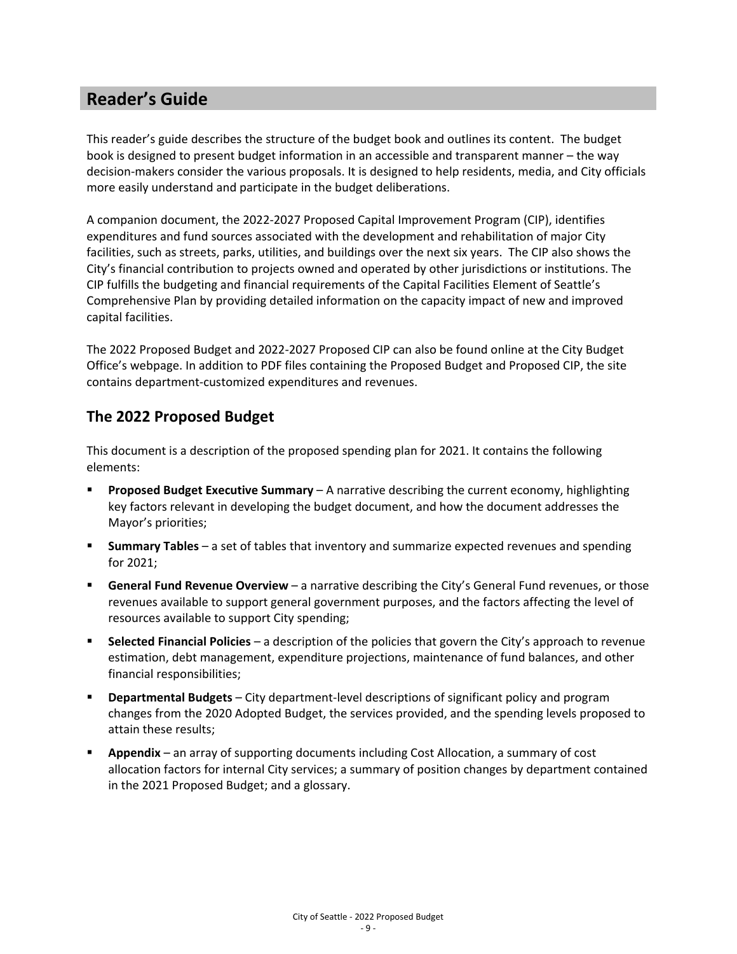### **Reader's Guide**

This reader's guide describes the structure of the budget book and outlines its content. The budget book is designed to present budget information in an accessible and transparent manner – the way decision-makers consider the various proposals. It is designed to help residents, media, and City officials more easily understand and participate in the budget deliberations.

A companion document, the 2022-2027 Proposed Capital Improvement Program (CIP), identifies expenditures and fund sources associated with the development and rehabilitation of major City facilities, such as streets, parks, utilities, and buildings over the next six years. The CIP also shows the City's financial contribution to projects owned and operated by other jurisdictions or institutions. The CIP fulfills the budgeting and financial requirements of the Capital Facilities Element of Seattle's Comprehensive Plan by providing detailed information on the capacity impact of new and improved capital facilities.

The 2022 Proposed Budget and 2022-2027 Proposed CIP can also be found online at the City Budget Office's webpage. In addition to PDF files containing the Proposed Budget and Proposed CIP, the site contains department-customized expenditures and revenues.

#### **The 2022 Proposed Budget**

This document is a description of the proposed spending plan for 2021. It contains the following elements:

- **Proposed Budget Executive Summary** A narrative describing the current economy, highlighting key factors relevant in developing the budget document, and how the document addresses the Mayor's priorities;
- **Summary Tables** a set of tables that inventory and summarize expected revenues and spending for 2021;
- **General Fund Revenue Overview** a narrative describing the City's General Fund revenues, or those revenues available to support general government purposes, and the factors affecting the level of resources available to support City spending;
- **Selected Financial Policies** a description of the policies that govern the City's approach to revenue estimation, debt management, expenditure projections, maintenance of fund balances, and other financial responsibilities;
- **Departmental Budgets** City department-level descriptions of significant policy and program changes from the 2020 Adopted Budget, the services provided, and the spending levels proposed to attain these results;
- **Appendix** an array of supporting documents including Cost Allocation, a summary of cost allocation factors for internal City services; a summary of position changes by department contained in the 2021 Proposed Budget; and a glossary.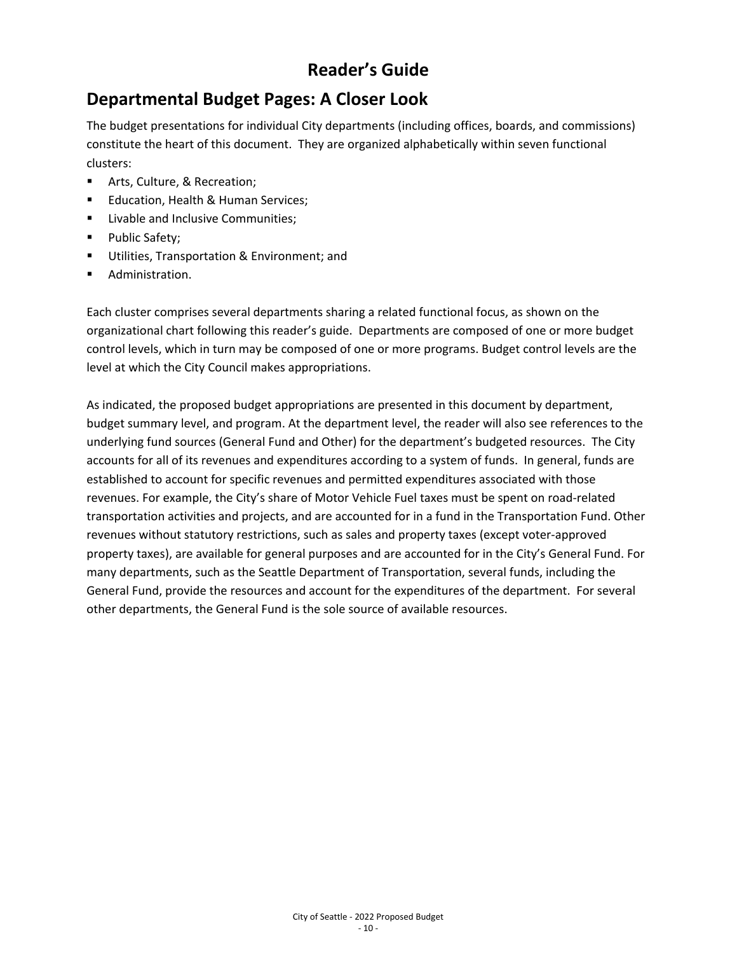# **Reader's Guide**

## **Departmental Budget Pages: A Closer Look**

The budget presentations for individual City departments (including offices, boards, and commissions) constitute the heart of this document. They are organized alphabetically within seven functional clusters:

- **F** Arts, Culture, & Recreation;
- **Education, Health & Human Services;**
- **EXECUTE:** Livable and Inclusive Communities;
- Public Safety;
- **Utilities, Transportation & Environment; and**
- **Administration.**

Each cluster comprises several departments sharing a related functional focus, as shown on the organizational chart following this reader's guide. Departments are composed of one or more budget control levels, which in turn may be composed of one or more programs. Budget control levels are the level at which the City Council makes appropriations.

As indicated, the proposed budget appropriations are presented in this document by department, budget summary level, and program. At the department level, the reader will also see references to the underlying fund sources (General Fund and Other) for the department's budgeted resources. The City accounts for all of its revenues and expenditures according to a system of funds. In general, funds are established to account for specific revenues and permitted expenditures associated with those revenues. For example, the City's share of Motor Vehicle Fuel taxes must be spent on road-related transportation activities and projects, and are accounted for in a fund in the Transportation Fund. Other revenues without statutory restrictions, such as sales and property taxes (except voter-approved property taxes), are available for general purposes and are accounted for in the City's General Fund. For many departments, such as the Seattle Department of Transportation, several funds, including the General Fund, provide the resources and account for the expenditures of the department. For several other departments, the General Fund is the sole source of available resources.